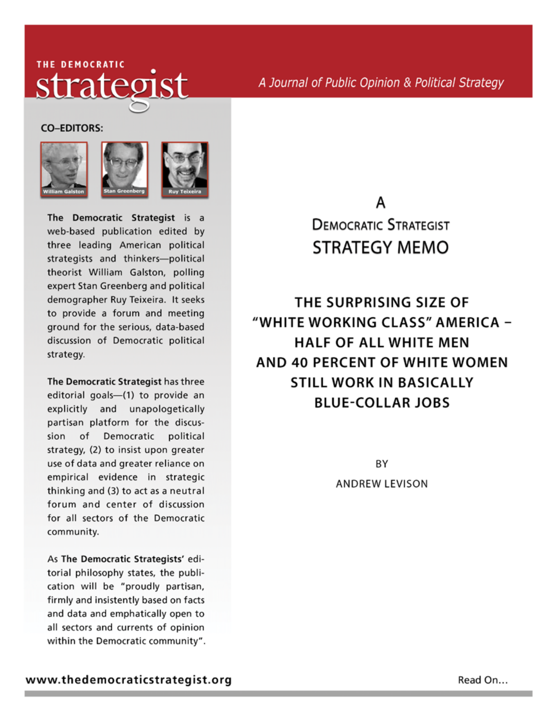# THE DEMOCRATIC strategist

A Journal of Public Opinion & Political Strategy

**CO-EDITORS:** 





The Democratic Strategist is a web-based publication edited by three leading American political strategists and thinkers-political theorist William Galston, polling expert Stan Greenberg and political demographer Ruy Teixeira. It seeks to provide a forum and meeting ground for the serious, data-based discussion of Democratic political strategy.

The Democratic Strategist has three editorial goals-(1) to provide an explicitly and unapologetically partisan platform for the discussion of Democratic political strategy, (2) to insist upon greater use of data and greater reliance on empirical evidence in strategic thinking and (3) to act as a neutral forum and center of discussion for all sectors of the Democratic community.

As The Democratic Strategists' editorial philosophy states, the publication will be "proudly partisan, firmly and insistently based on facts and data and emphatically open to all sectors and currents of opinion within the Democratic community".

### А **DEMOCRATIC STRATEGIST STRATEGY MEMO**

THE SURPRISING SIZE OF "WHITE WORKING CLASS" AMERICA -**HALF OF ALL WHITE MEN** AND 40 PERCENT OF WHITE WOMEN **STILL WORK IN BASICALLY BLUE-COLLAR JOBS** 

> BY **ANDREW LEVISON**

Read On...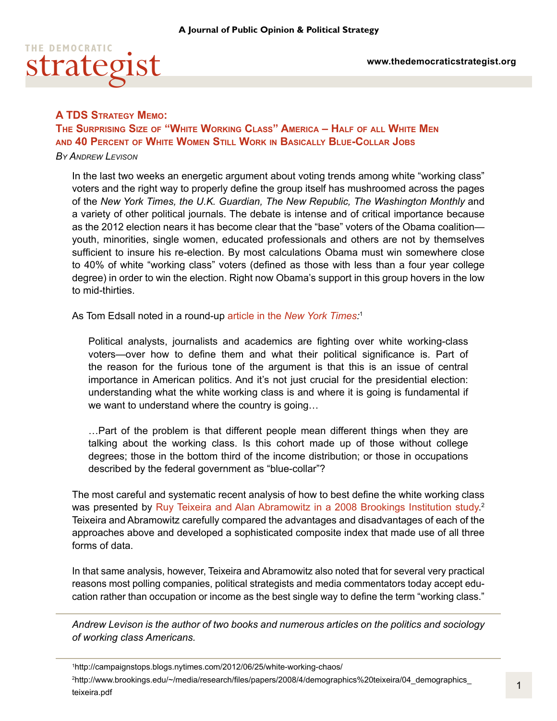## **THE DEMOCRATIC** strategi

#### **A TDS Strategy Memo:**

### **The Surprising Size of "White Working Class" America – Half of all White Men and 40 Percent of White Women Still Work in Basically Blue-Collar Jobs**

#### *By Andrew Levison*

In the last two weeks an energetic argument about voting trends among white "working class" voters and the right way to properly define the group itself has mushroomed across the pages of the *New York Times, the U.K. Guardian, The New Republic, The Washington Monthly* and a variety of other political journals. The debate is intense and of critical importance because as the 2012 election nears it has become clear that the "base" voters of the Obama coalition youth, minorities, single women, educated professionals and others are not by themselves sufficient to insure his re-election. By most calculations Obama must win somewhere close to 40% of white "working class" voters (defined as those with less than a four year college degree) in order to win the election. Right now Obama's support in this group hovers in the low to mid-thirties.

As Tom Edsall noted in a round-up article in the *[New York Times](http://campaignstops.blogs.nytimes.com/2012/06/25/white-working-chaos/):* 1

Political analysts, journalists and academics are fighting over white working-class voters—over how to define them and what their political significance is. Part of the reason for the furious tone of the argument is that this is an issue of central importance in American politics. And it's not just crucial for the presidential election: understanding what the white working class is and where it is going is fundamental if we want to understand where the country is going…

…Part of the problem is that different people mean different things when they are talking about the working class. Is this cohort made up of those without college degrees; those in the bottom third of the income distribution; or those in occupations described by the federal government as "blue-collar"?

The most careful and systematic recent analysis of how to best define the white working class was presented by [Ruy Teixeira and Alan Abramowitz in a 2008 Brookings Institution study](http://www.brookings.edu/~/media/research/files/papers/2008/4/demographics%20teixeira/04_demographics_teixeira.pdf). 2 Teixeira and Abramowitz carefully compared the advantages and disadvantages of each of the approaches above and developed a sophisticated composite index that made use of all three forms of data.

In that same analysis, however, Teixeira and Abramowitz also noted that for several very practical reasons most polling companies, political strategists and media commentators today accept education rather than occupation or income as the best single way to define the term "working class."

*Andrew Levison is the author of two books and numerous articles on the politics and sociology of working class Americans.*

1 <http://campaignstops.blogs.nytimes.com/2012/06/25/white>-working-chaos/ 2 [http://www.brookings.edu/~/media/research/files/papers/2008/4/demographics%](http://www.brookings.edu/~/media/research/files/papers/2008/4/demographics)20teixeira[/04\\_demographics\\_](04_demographics_teixeira.pdf) [teixeira.pdf](04_demographics_teixeira.pdf)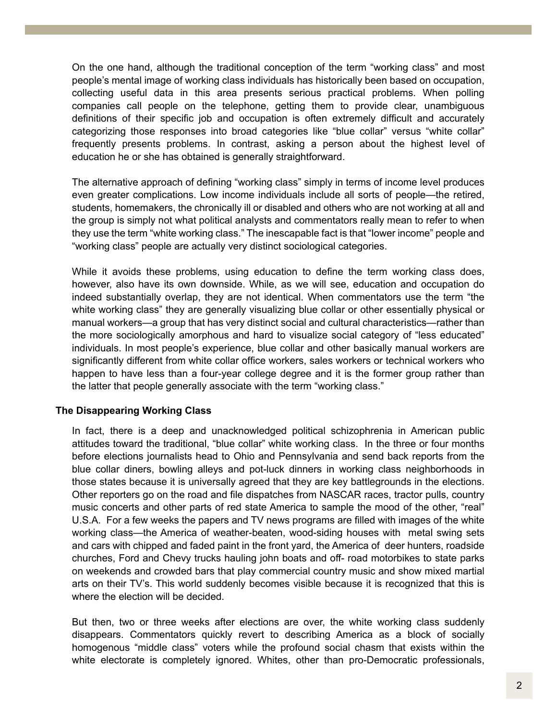On the one hand, although the traditional conception of the term "working class" and most people's mental image of working class individuals has historically been based on occupation, collecting useful data in this area presents serious practical problems. When polling companies call people on the telephone, getting them to provide clear, unambiguous definitions of their specific job and occupation is often extremely difficult and accurately categorizing those responses into broad categories like "blue collar" versus "white collar" frequently presents problems. In contrast, asking a person about the highest level of education he or she has obtained is generally straightforward.

The alternative approach of defining "working class" simply in terms of income level produces even greater complications. Low income individuals include all sorts of people—the retired, students, homemakers, the chronically ill or disabled and others who are not working at all and the group is simply not what political analysts and commentators really mean to refer to when they use the term "white working class." The inescapable fact is that "lower income" people and "working class" people are actually very distinct sociological categories.

While it avoids these problems, using education to define the term working class does, however, also have its own downside. While, as we will see, education and occupation do indeed substantially overlap, they are not identical. When commentators use the term "the white working class" they are generally visualizing blue collar or other essentially physical or manual workers—a group that has very distinct social and cultural characteristics—rather than the more sociologically amorphous and hard to visualize social category of "less educated" individuals. In most people's experience, blue collar and other basically manual workers are significantly different from white collar office workers, sales workers or technical workers who happen to have less than a four-year college degree and it is the former group rather than the latter that people generally associate with the term "working class."

#### **The Disappearing Working Class**

In fact, there is a deep and unacknowledged political schizophrenia in American public attitudes toward the traditional, "blue collar" white working class. In the three or four months before elections journalists head to Ohio and Pennsylvania and send back reports from the blue collar diners, bowling alleys and pot-luck dinners in working class neighborhoods in those states because it is universally agreed that they are key battlegrounds in the elections. Other reporters go on the road and file dispatches from NASCAR races, tractor pulls, country music concerts and other parts of red state America to sample the mood of the other, "real" U.S.A. For a few weeks the papers and TV news programs are filled with images of the white working class—the America of weather-beaten, wood-siding houses with metal swing sets and cars with chipped and faded paint in the front yard, the America of deer hunters, roadside churches, Ford and Chevy trucks hauling john boats and off- road motorbikes to state parks on weekends and crowded bars that play commercial country music and show mixed martial arts on their TV's. This world suddenly becomes visible because it is recognized that this is where the election will be decided.

But then, two or three weeks after elections are over, the white working class suddenly disappears. Commentators quickly revert to describing America as a block of socially homogenous "middle class" voters while the profound social chasm that exists within the white electorate is completely ignored. Whites, other than pro-Democratic professionals,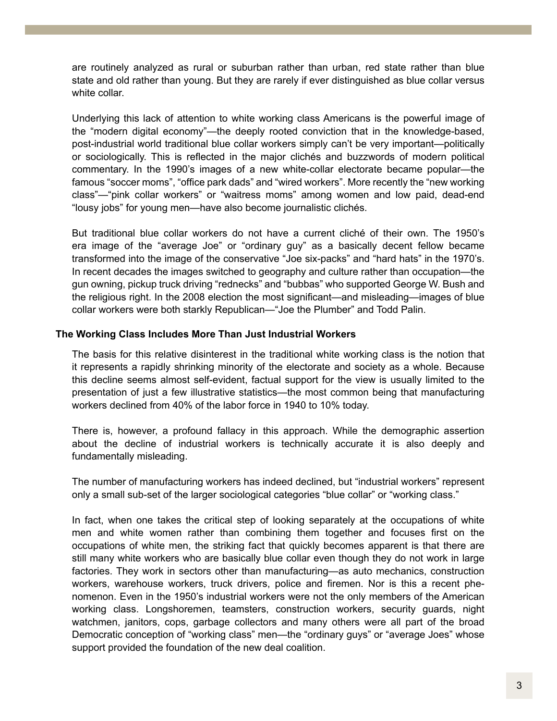are routinely analyzed as rural or suburban rather than urban, red state rather than blue state and old rather than young. But they are rarely if ever distinguished as blue collar versus white collar

Underlying this lack of attention to white working class Americans is the powerful image of the "modern digital economy"—the deeply rooted conviction that in the knowledge-based, post-industrial world traditional blue collar workers simply can't be very important—politically or sociologically. This is reflected in the major clichés and buzzwords of modern political commentary. In the 1990's images of a new white-collar electorate became popular—the famous "soccer moms", "office park dads" and "wired workers". More recently the "new working class"—"pink collar workers" or "waitress moms" among women and low paid, dead-end "lousy jobs" for young men—have also become journalistic clichés.

But traditional blue collar workers do not have a current cliché of their own. The 1950's era image of the "average Joe" or "ordinary guy" as a basically decent fellow became transformed into the image of the conservative "Joe six-packs" and "hard hats" in the 1970's. In recent decades the images switched to geography and culture rather than occupation—the gun owning, pickup truck driving "rednecks" and "bubbas" who supported George W. Bush and the religious right. In the 2008 election the most significant—and misleading—images of blue collar workers were both starkly Republican—"Joe the Plumber" and Todd Palin.

#### **The Working Class Includes More Than Just Industrial Workers**

The basis for this relative disinterest in the traditional white working class is the notion that it represents a rapidly shrinking minority of the electorate and society as a whole. Because this decline seems almost self-evident, factual support for the view is usually limited to the presentation of just a few illustrative statistics—the most common being that manufacturing workers declined from 40% of the labor force in 1940 to 10% today.

There is, however, a profound fallacy in this approach. While the demographic assertion about the decline of industrial workers is technically accurate it is also deeply and fundamentally misleading.

The number of manufacturing workers has indeed declined, but "industrial workers" represent only a small sub-set of the larger sociological categories "blue collar" or "working class."

In fact, when one takes the critical step of looking separately at the occupations of white men and white women rather than combining them together and focuses first on the occupations of white men, the striking fact that quickly becomes apparent is that there are still many white workers who are basically blue collar even though they do not work in large factories. They work in sectors other than manufacturing—as auto mechanics, construction workers, warehouse workers, truck drivers, police and firemen. Nor is this a recent phenomenon. Even in the 1950's industrial workers were not the only members of the American working class. Longshoremen, teamsters, construction workers, security guards, night watchmen, janitors, cops, garbage collectors and many others were all part of the broad Democratic conception of "working class" men—the "ordinary guys" or "average Joes" whose support provided the foundation of the new deal coalition.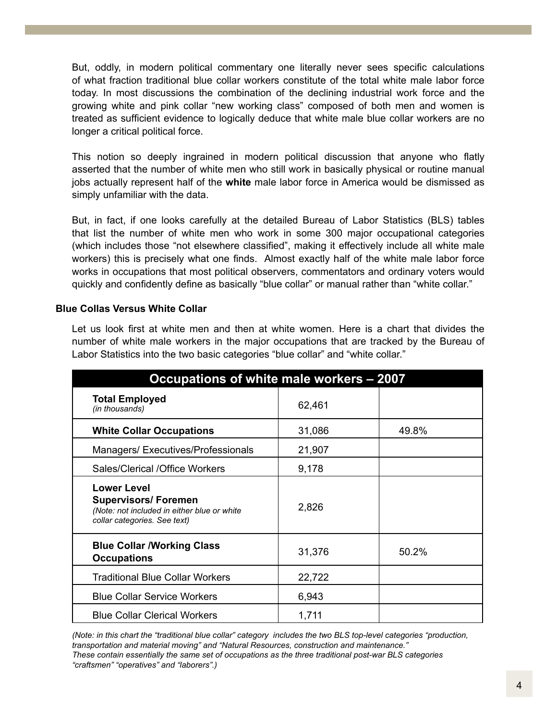But, oddly, in modern political commentary one literally never sees specific calculations of what fraction traditional blue collar workers constitute of the total white male labor force today. In most discussions the combination of the declining industrial work force and the growing white and pink collar "new working class" composed of both men and women is treated as sufficient evidence to logically deduce that white male blue collar workers are no longer a critical political force.

This notion so deeply ingrained in modern political discussion that anyone who flatly asserted that the number of white men who still work in basically physical or routine manual jobs actually represent half of the **white** male labor force in America would be dismissed as simply unfamiliar with the data.

But, in fact, if one looks carefully at the detailed Bureau of Labor Statistics (BLS) tables that list the number of white men who work in some 300 major occupational categories (which includes those "not elsewhere classified", making it effectively include all white male workers) this is precisely what one finds. Almost exactly half of the white male labor force works in occupations that most political observers, commentators and ordinary voters would quickly and confidently define as basically "blue collar" or manual rather than "white collar."

#### **Blue Collas Versus White Collar**

Let us look first at white men and then at white women. Here is a chart that divides the number of white male workers in the major occupations that are tracked by the Bureau of Labor Statistics into the two basic categories "blue collar" and "white collar."

| Occupations of white male workers - 2007                                                                                        |        |       |  |
|---------------------------------------------------------------------------------------------------------------------------------|--------|-------|--|
| <b>Total Employed</b><br>(in thousands)                                                                                         | 62,461 |       |  |
| <b>White Collar Occupations</b>                                                                                                 | 31,086 | 49.8% |  |
| Managers/ Executives/Professionals                                                                                              | 21,907 |       |  |
| Sales/Clerical / Office Workers                                                                                                 | 9,178  |       |  |
| <b>Lower Level</b><br><b>Supervisors/Foremen</b><br>(Note: not included in either blue or white<br>collar categories. See text) | 2,826  |       |  |
| <b>Blue Collar /Working Class</b><br><b>Occupations</b>                                                                         | 31,376 | 50.2% |  |
| Traditional Blue Collar Workers                                                                                                 | 22,722 |       |  |
| <b>Blue Collar Service Workers</b>                                                                                              | 6,943  |       |  |
| <b>Blue Collar Clerical Workers</b>                                                                                             | 1,711  |       |  |

*(Note: in this chart the "traditional blue collar" category includes the two BLS top-level categories "production, transportation and material moving" and "Natural Resources, construction and maintenance." These contain essentially the same set of occupations as the three traditional post-war BLS categories "craftsmen" "operatives" and "laborers".)*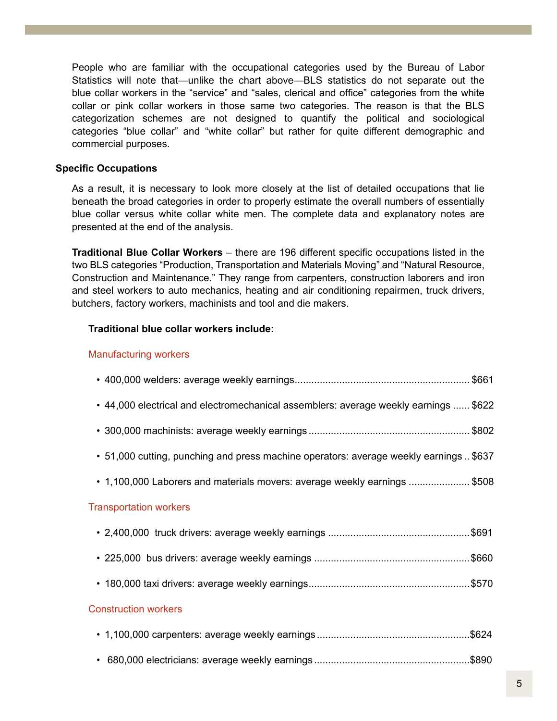People who are familiar with the occupational categories used by the Bureau of Labor Statistics will note that—unlike the chart above—BLS statistics do not separate out the blue collar workers in the "service" and "sales, clerical and office" categories from the white collar or pink collar workers in those same two categories. The reason is that the BLS categorization schemes are not designed to quantify the political and sociological categories "blue collar" and "white collar" but rather for quite different demographic and commercial purposes.

#### **Specific Occupations**

As a result, it is necessary to look more closely at the list of detailed occupations that lie beneath the broad categories in order to properly estimate the overall numbers of essentially blue collar versus white collar white men. The complete data and explanatory notes are presented at the end of the analysis.

**Traditional Blue Collar Workers** – there are 196 different specific occupations listed in the two BLS categories "Production, Transportation and Materials Moving" and "Natural Resource, Construction and Maintenance." They range from carpenters, construction laborers and iron and steel workers to auto mechanics, heating and air conditioning repairmen, truck drivers, butchers, factory workers, machinists and tool and die makers.

#### **Traditional blue collar workers include:**

#### Manufacturing workers

| • 44,000 electrical and electromechanical assemblers: average weekly earnings  \$622  |  |
|---------------------------------------------------------------------------------------|--|
|                                                                                       |  |
| • 51,000 cutting, punching and press machine operators: average weekly earnings \$637 |  |
| • 1,100,000 Laborers and materials movers: average weekly earnings \$508              |  |
| <b>Transportation workers</b>                                                         |  |
|                                                                                       |  |
|                                                                                       |  |
|                                                                                       |  |
| <b>Construction workers</b>                                                           |  |
|                                                                                       |  |
|                                                                                       |  |

• 680,000 electricians: average weekly earnings ........................................................\$890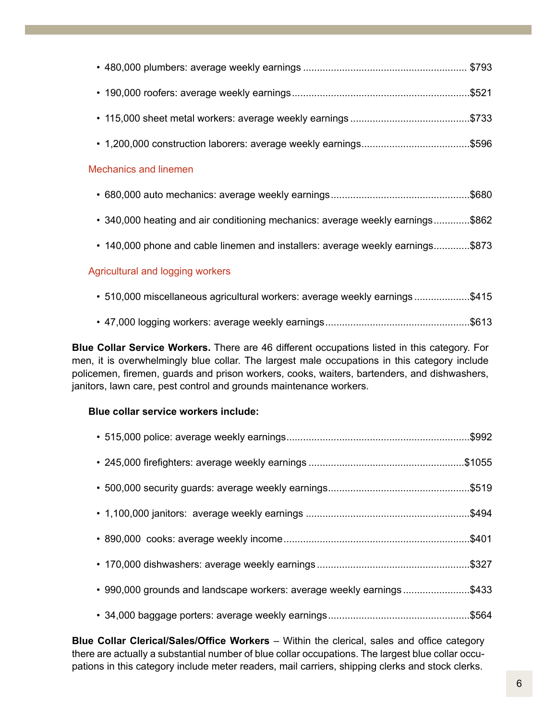#### Mechanics and linemen

- 680,000 auto mechanics: average weekly earnings..................................................\$680
- 340,000 heating and air conditioning mechanics: average weekly earnings.............\$862
- 140,000 phone and cable linemen and installers: average weekly earnings.............\$873

#### Agricultural and logging workers

- 510,000 miscellaneous agricultural workers: average weekly earnings ....................\$415
- 47,000 logging workers: average weekly earnings....................................................\$613

**Blue Collar Service Workers.** There are 46 different occupations listed in this category. For men, it is overwhelmingly blue collar. The largest male occupations in this category include policemen, firemen, guards and prison workers, cooks, waiters, bartenders, and dishwashers, janitors, lawn care, pest control and grounds maintenance workers.

#### **Blue collar service workers include:**

| • 990,000 grounds and landscape workers: average weekly earnings\$433 |  |
|-----------------------------------------------------------------------|--|
|                                                                       |  |

**Blue Collar Clerical/Sales/Office Workers** – Within the clerical, sales and office category there are actually a substantial number of blue collar occupations. The largest blue collar occupations in this category include meter readers, mail carriers, shipping clerks and stock clerks.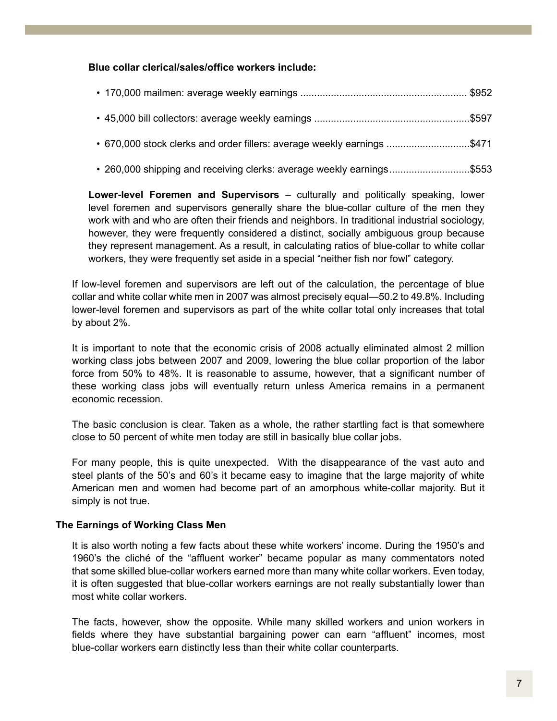#### **Blue collar clerical/sales/office workers include:**

| • 670,000 stock clerks and order fillers: average weekly earnings \$471 |  |
|-------------------------------------------------------------------------|--|

• 260,000 shipping and receiving clerks: average weekly earnings...........................\$553

**Lower-level Foremen and Supervisors** – culturally and politically speaking, lower level foremen and supervisors generally share the blue-collar culture of the men they work with and who are often their friends and neighbors. In traditional industrial sociology, however, they were frequently considered a distinct, socially ambiguous group because they represent management. As a result, in calculating ratios of blue-collar to white collar workers, they were frequently set aside in a special "neither fish nor fowl" category.

If low-level foremen and supervisors are left out of the calculation, the percentage of blue collar and white collar white men in 2007 was almost precisely equal—50.2 to 49.8%. Including lower-level foremen and supervisors as part of the white collar total only increases that total by about 2%.

It is important to note that the economic crisis of 2008 actually eliminated almost 2 million working class jobs between 2007 and 2009, lowering the blue collar proportion of the labor force from 50% to 48%. It is reasonable to assume, however, that a significant number of these working class jobs will eventually return unless America remains in a permanent economic recession.

The basic conclusion is clear. Taken as a whole, the rather startling fact is that somewhere close to 50 percent of white men today are still in basically blue collar jobs.

For many people, this is quite unexpected. With the disappearance of the vast auto and steel plants of the 50's and 60's it became easy to imagine that the large majority of white American men and women had become part of an amorphous white-collar majority. But it simply is not true.

#### **The Earnings of Working Class Men**

It is also worth noting a few facts about these white workers' income. During the 1950's and 1960's the cliché of the "affluent worker" became popular as many commentators noted that some skilled blue-collar workers earned more than many white collar workers. Even today, it is often suggested that blue-collar workers earnings are not really substantially lower than most white collar workers.

The facts, however, show the opposite. While many skilled workers and union workers in fields where they have substantial bargaining power can earn "affluent" incomes, most blue-collar workers earn distinctly less than their white collar counterparts.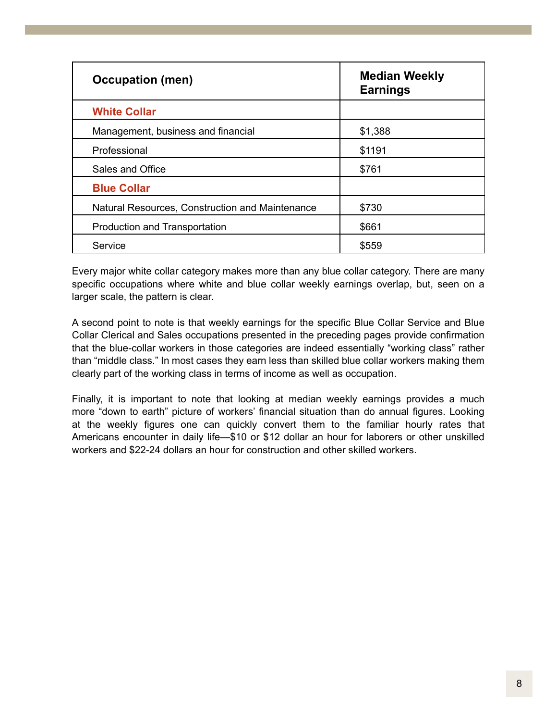| <b>Occupation (men)</b>                         | <b>Median Weekly</b><br><b>Earnings</b> |
|-------------------------------------------------|-----------------------------------------|
| <b>White Collar</b>                             |                                         |
| Management, business and financial              | \$1,388                                 |
| Professional                                    | \$1191                                  |
| Sales and Office                                | \$761                                   |
| <b>Blue Collar</b>                              |                                         |
| Natural Resources, Construction and Maintenance | \$730                                   |
| Production and Transportation                   | \$661                                   |
| Service                                         | \$559                                   |

Every major white collar category makes more than any blue collar category. There are many specific occupations where white and blue collar weekly earnings overlap, but, seen on a larger scale, the pattern is clear.

A second point to note is that weekly earnings for the specific Blue Collar Service and Blue Collar Clerical and Sales occupations presented in the preceding pages provide confirmation that the blue-collar workers in those categories are indeed essentially "working class" rather than "middle class." In most cases they earn less than skilled blue collar workers making them clearly part of the working class in terms of income as well as occupation.

Finally, it is important to note that looking at median weekly earnings provides a much more "down to earth" picture of workers' financial situation than do annual figures. Looking at the weekly figures one can quickly convert them to the familiar hourly rates that Americans encounter in daily life—\$10 or \$12 dollar an hour for laborers or other unskilled workers and \$22-24 dollars an hour for construction and other skilled workers.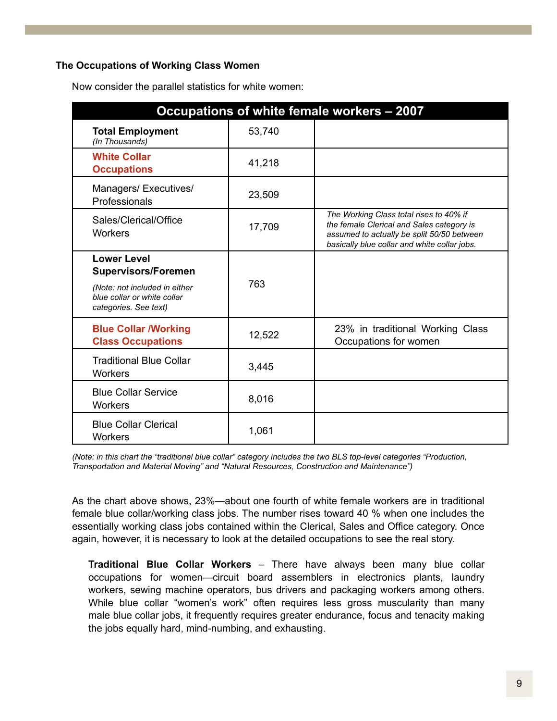#### **The Occupations of Working Class Women**

Now consider the parallel statistics for white women:

| Occupations of white female workers - 2007                                                                                                |        |                                                                                                                                                                                    |  |
|-------------------------------------------------------------------------------------------------------------------------------------------|--------|------------------------------------------------------------------------------------------------------------------------------------------------------------------------------------|--|
| <b>Total Employment</b><br>(In Thousands)                                                                                                 | 53,740 |                                                                                                                                                                                    |  |
| <b>White Collar</b><br><b>Occupations</b>                                                                                                 | 41,218 |                                                                                                                                                                                    |  |
| Managers/ Executives/<br>Professionals                                                                                                    | 23,509 |                                                                                                                                                                                    |  |
| Sales/Clerical/Office<br><b>Workers</b>                                                                                                   | 17,709 | The Working Class total rises to 40% if<br>the female Clerical and Sales category is<br>assumed to actually be split 50/50 between<br>basically blue collar and white collar jobs. |  |
| <b>Lower Level</b><br><b>Supervisors/Foremen</b><br>(Note: not included in either<br>blue collar or white collar<br>categories. See text) | 763    |                                                                                                                                                                                    |  |
| <b>Blue Collar /Working</b><br><b>Class Occupations</b>                                                                                   | 12,522 | 23% in traditional Working Class<br>Occupations for women                                                                                                                          |  |
| <b>Traditional Blue Collar</b><br><b>Workers</b>                                                                                          | 3,445  |                                                                                                                                                                                    |  |
| <b>Blue Collar Service</b><br><b>Workers</b>                                                                                              | 8,016  |                                                                                                                                                                                    |  |
| <b>Blue Collar Clerical</b><br><b>Workers</b>                                                                                             | 1,061  |                                                                                                                                                                                    |  |

*(Note: in this chart the "traditional blue collar" category includes the two BLS top-level categories "Production, Transportation and Material Moving" and "Natural Resources, Construction and Maintenance")*

As the chart above shows, 23%—about one fourth of white female workers are in traditional female blue collar/working class jobs. The number rises toward 40 % when one includes the essentially working class jobs contained within the Clerical, Sales and Office category. Once again, however, it is necessary to look at the detailed occupations to see the real story.

**Traditional Blue Collar Workers** – There have always been many blue collar occupations for women—circuit board assemblers in electronics plants, laundry workers, sewing machine operators, bus drivers and packaging workers among others. While blue collar "women's work" often requires less gross muscularity than many male blue collar jobs, it frequently requires greater endurance, focus and tenacity making the jobs equally hard, mind-numbing, and exhausting.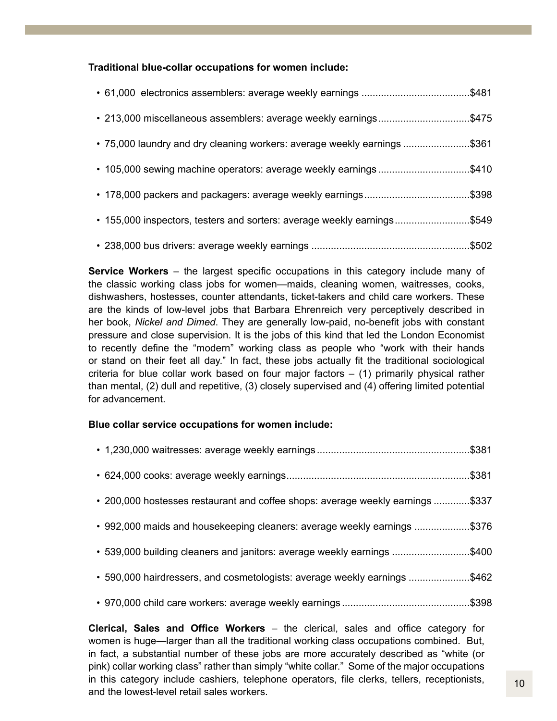#### **Traditional blue-collar occupations for women include:**

| • 61,000 electronics assemblers: average weekly earnings \$481           |        |
|--------------------------------------------------------------------------|--------|
| • 213,000 miscellaneous assemblers: average weekly earnings\$475         |        |
| • 75,000 laundry and dry cleaning workers: average weekly earnings \$361 |        |
| • 105,000 sewing machine operators: average weekly earnings\$410         |        |
| • 178,000 packers and packagers: average weekly earnings\$398            |        |
|                                                                          | \$549. |
|                                                                          |        |

**Service Workers** – the largest specific occupations in this category include many of the classic working class jobs for women—maids, cleaning women, waitresses, cooks, dishwashers, hostesses, counter attendants, ticket-takers and child care workers. These are the kinds of low-level jobs that Barbara Ehrenreich very perceptively described in her book, *Nickel and Dimed*. They are generally low-paid, no-benefit jobs with constant pressure and close supervision. It is the jobs of this kind that led the London Economist to recently define the "modern" working class as people who "work with their hands or stand on their feet all day." In fact, these jobs actually fit the traditional sociological criteria for blue collar work based on four major factors  $-$  (1) primarily physical rather than mental, (2) dull and repetitive, (3) closely supervised and (4) offering limited potential for advancement.

#### **Blue collar service occupations for women include:**

| • 200,000 hostesses restaurant and coffee shops: average weekly earnings \$337 |  |
|--------------------------------------------------------------------------------|--|
| • 992,000 maids and housekeeping cleaners: average weekly earnings \$376       |  |
| • 539,000 building cleaners and janitors: average weekly earnings \$400        |  |
| • 590,000 hairdressers, and cosmetologists: average weekly earnings \$462      |  |
|                                                                                |  |

**Clerical, Sales and Office Workers** – the clerical, sales and office category for women is huge—larger than all the traditional working class occupations combined. But, in fact, a substantial number of these jobs are more accurately described as "white (or pink) collar working class" rather than simply "white collar." Some of the major occupations in this category include cashiers, telephone operators, file clerks, tellers, receptionists, and the lowest-level retail sales workers.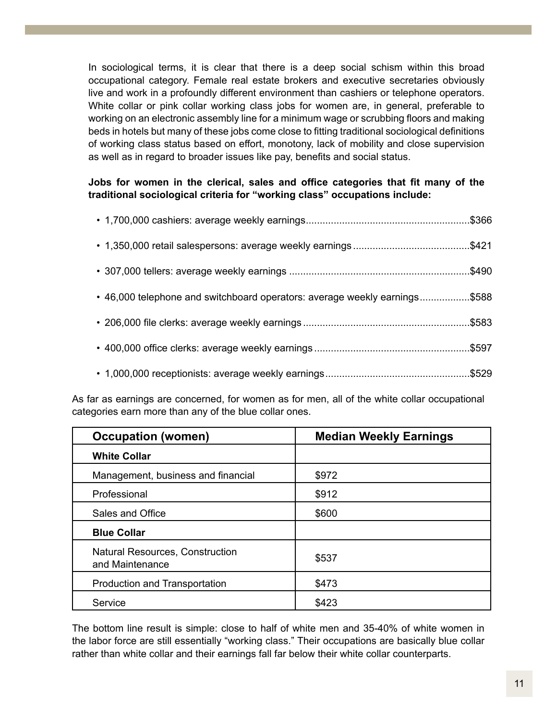In sociological terms, it is clear that there is a deep social schism within this broad occupational category. Female real estate brokers and executive secretaries obviously live and work in a profoundly different environment than cashiers or telephone operators. White collar or pink collar working class jobs for women are, in general, preferable to working on an electronic assembly line for a minimum wage or scrubbing floors and making beds in hotels but many of these jobs come close to fitting traditional sociological definitions of working class status based on effort, monotony, lack of mobility and close supervision as well as in regard to broader issues like pay, benefits and social status.

#### **Jobs for women in the clerical, sales and office categories that fit many of the traditional sociological criteria for "working class" occupations include:**

| • 46,000 telephone and switchboard operators: average weekly earnings\$588 |  |
|----------------------------------------------------------------------------|--|
|                                                                            |  |
|                                                                            |  |
|                                                                            |  |

As far as earnings are concerned, for women as for men, all of the white collar occupational categories earn more than any of the blue collar ones.

| <b>Occupation (women)</b>                                 | <b>Median Weekly Earnings</b> |  |
|-----------------------------------------------------------|-------------------------------|--|
| <b>White Collar</b>                                       |                               |  |
| Management, business and financial                        | \$972                         |  |
| Professional                                              | \$912                         |  |
| Sales and Office                                          | \$600                         |  |
| <b>Blue Collar</b>                                        |                               |  |
| <b>Natural Resources, Construction</b><br>and Maintenance | \$537                         |  |
| <b>Production and Transportation</b>                      | \$473                         |  |
| Service                                                   | \$423                         |  |

The bottom line result is simple: close to half of white men and 35-40% of white women in the labor force are still essentially "working class." Their occupations are basically blue collar rather than white collar and their earnings fall far below their white collar counterparts.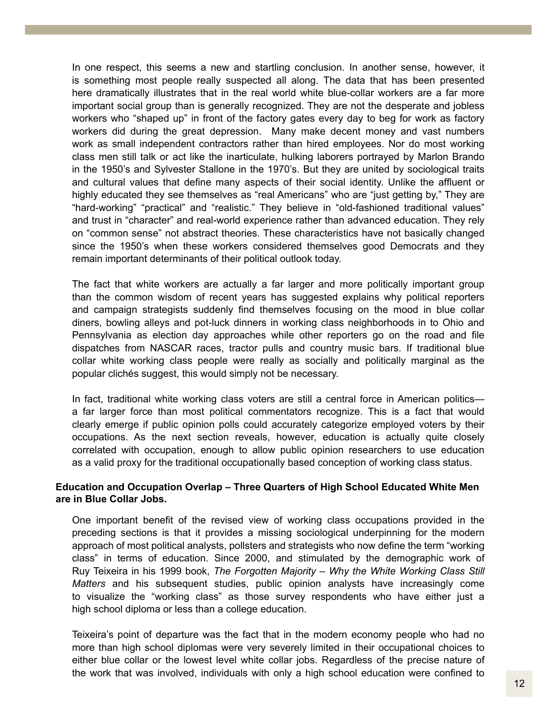In one respect, this seems a new and startling conclusion. In another sense, however, it is something most people really suspected all along. The data that has been presented here dramatically illustrates that in the real world white blue-collar workers are a far more important social group than is generally recognized. They are not the desperate and jobless workers who "shaped up" in front of the factory gates every day to beg for work as factory workers did during the great depression. Many make decent money and vast numbers work as small independent contractors rather than hired employees. Nor do most working class men still talk or act like the inarticulate, hulking laborers portrayed by Marlon Brando in the 1950's and Sylvester Stallone in the 1970's. But they are united by sociological traits and cultural values that define many aspects of their social identity. Unlike the affluent or highly educated they see themselves as "real Americans" who are "just getting by," They are "hard-working" "practical" and "realistic." They believe in "old-fashioned traditional values" and trust in "character" and real-world experience rather than advanced education. They rely on "common sense" not abstract theories. These characteristics have not basically changed since the 1950's when these workers considered themselves good Democrats and they remain important determinants of their political outlook today.

The fact that white workers are actually a far larger and more politically important group than the common wisdom of recent years has suggested explains why political reporters and campaign strategists suddenly find themselves focusing on the mood in blue collar diners, bowling alleys and pot-luck dinners in working class neighborhoods in to Ohio and Pennsylvania as election day approaches while other reporters go on the road and file dispatches from NASCAR races, tractor pulls and country music bars. If traditional blue collar white working class people were really as socially and politically marginal as the popular clichés suggest, this would simply not be necessary.

In fact, traditional white working class voters are still a central force in American politics a far larger force than most political commentators recognize. This is a fact that would clearly emerge if public opinion polls could accurately categorize employed voters by their occupations. As the next section reveals, however, education is actually quite closely correlated with occupation, enough to allow public opinion researchers to use education as a valid proxy for the traditional occupationally based conception of working class status.

#### **Education and Occupation Overlap – Three Quarters of High School Educated White Men are in Blue Collar Jobs.**

One important benefit of the revised view of working class occupations provided in the preceding sections is that it provides a missing sociological underpinning for the modern approach of most political analysts, pollsters and strategists who now define the term "working class" in terms of education. Since 2000, and stimulated by the demographic work of Ruy Teixeira in his 1999 book, *The Forgotten Majority – Why the White Working Class Still Matters* and his subsequent studies, public opinion analysts have increasingly come to visualize the "working class" as those survey respondents who have either just a high school diploma or less than a college education.

Teixeira's point of departure was the fact that in the modern economy people who had no more than high school diplomas were very severely limited in their occupational choices to either blue collar or the lowest level white collar jobs. Regardless of the precise nature of the work that was involved, individuals with only a high school education were confined to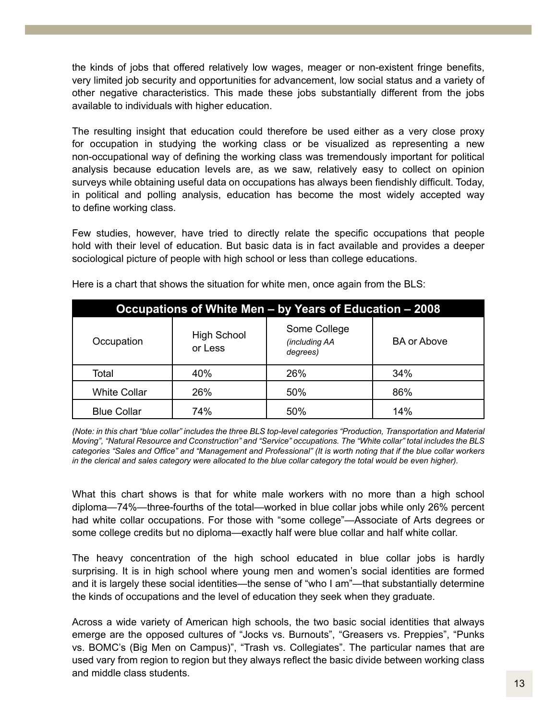the kinds of jobs that offered relatively low wages, meager or non-existent fringe benefits, very limited job security and opportunities for advancement, low social status and a variety of other negative characteristics. This made these jobs substantially different from the jobs available to individuals with higher education.

The resulting insight that education could therefore be used either as a very close proxy for occupation in studying the working class or be visualized as representing a new non-occupational way of defining the working class was tremendously important for political analysis because education levels are, as we saw, relatively easy to collect on opinion surveys while obtaining useful data on occupations has always been fiendishly difficult. Today, in political and polling analysis, education has become the most widely accepted way to define working class.

Few studies, however, have tried to directly relate the specific occupations that people hold with their level of education. But basic data is in fact available and provides a deeper sociological picture of people with high school or less than college educations.

| Occupations of White Men – by Years of Education – 2008 |                               |                                           |                    |
|---------------------------------------------------------|-------------------------------|-------------------------------------------|--------------------|
| Occupation                                              | <b>High School</b><br>or Less | Some College<br>(including AA<br>degrees) | <b>BA or Above</b> |
| Total                                                   | 40%                           | 26%                                       | 34%                |
| <b>White Collar</b>                                     | 26%                           | 50%                                       | 86%                |
| <b>Blue Collar</b>                                      | 74%                           | 50%                                       | 14%                |

Here is a chart that shows the situation for white men, once again from the BLS:

*(Note: in this chart "blue collar" includes the three BLS top-level categories "Production, Transportation and Material Moving", "Natural Resource and Cconstruction" and "Service" occupations. The "White collar" total includes the BLS categories "Sales and Office" and "Management and Professional" (It is worth noting that if the blue collar workers in the clerical and sales category were allocated to the blue collar category the total would be even higher).*

What this chart shows is that for white male workers with no more than a high school diploma—74%—three-fourths of the total—worked in blue collar jobs while only 26% percent had white collar occupations. For those with "some college"—Associate of Arts degrees or some college credits but no diploma—exactly half were blue collar and half white collar.

The heavy concentration of the high school educated in blue collar jobs is hardly surprising. It is in high school where young men and women's social identities are formed and it is largely these social identities—the sense of "who I am"—that substantially determine the kinds of occupations and the level of education they seek when they graduate.

Across a wide variety of American high schools, the two basic social identities that always emerge are the opposed cultures of "Jocks vs. Burnouts", "Greasers vs. Preppies", "Punks vs. BOMC's (Big Men on Campus)", "Trash vs. Collegiates". The particular names that are used vary from region to region but they always reflect the basic divide between working class and middle class students.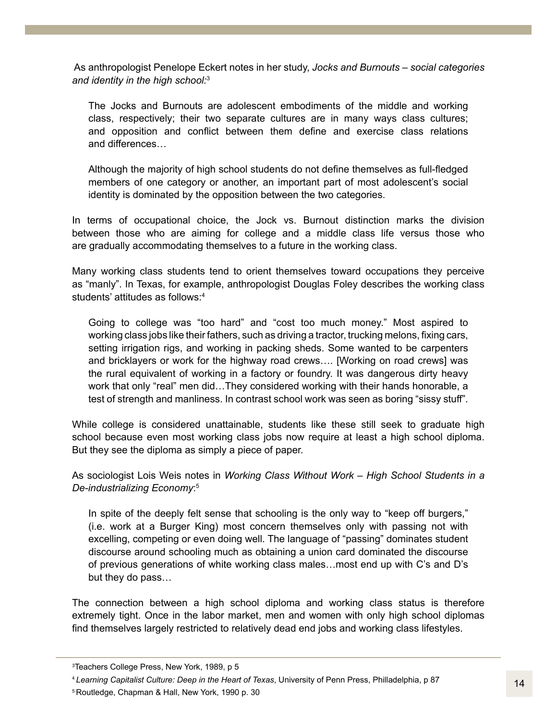As anthropologist Penelope Eckert notes in her study, *Jocks and Burnouts – social categories and identity in the high school:*<sup>3</sup>

The Jocks and Burnouts are adolescent embodiments of the middle and working class, respectively; their two separate cultures are in many ways class cultures; and opposition and conflict between them define and exercise class relations and differences…

Although the majority of high school students do not define themselves as full-fledged members of one category or another, an important part of most adolescent's social identity is dominated by the opposition between the two categories.

In terms of occupational choice, the Jock vs. Burnout distinction marks the division between those who are aiming for college and a middle class life versus those who are gradually accommodating themselves to a future in the working class.

Many working class students tend to orient themselves toward occupations they perceive as "manly". In Texas, for example, anthropologist Douglas Foley describes the working class students' attitudes as follows:<sup>4</sup>

Going to college was "too hard" and "cost too much money." Most aspired to working class jobs like their fathers, such as driving a tractor, trucking melons, fixing cars, setting irrigation rigs, and working in packing sheds. Some wanted to be carpenters and bricklayers or work for the highway road crews…. [Working on road crews] was the rural equivalent of working in a factory or foundry. It was dangerous dirty heavy work that only "real" men did…They considered working with their hands honorable, a test of strength and manliness. In contrast school work was seen as boring "sissy stuff".

While college is considered unattainable, students like these still seek to graduate high school because even most working class jobs now require at least a high school diploma. But they see the diploma as simply a piece of paper.

As sociologist Lois Weis notes in *Working Class Without Work – High School Students in a De-industrializing Economy*: 5

In spite of the deeply felt sense that schooling is the only way to "keep off burgers," (i.e. work at a Burger King) most concern themselves only with passing not with excelling, competing or even doing well. The language of "passing" dominates student discourse around schooling much as obtaining a union card dominated the discourse of previous generations of white working class males…most end up with C's and D's but they do pass…

The connection between a high school diploma and working class status is therefore extremely tight. Once in the labor market, men and women with only high school diplomas find themselves largely restricted to relatively dead end jobs and working class lifestyles.

<sup>3</sup> Teachers College Press, New York, 1989, p 5

<sup>4</sup>*Learning Capitalist Culture: Deep in the Heart of Texas*, University of Penn Press, Philladelphia, p 87

<sup>5</sup> Routledge, Chapman & Hall, New York, 1990 p. 30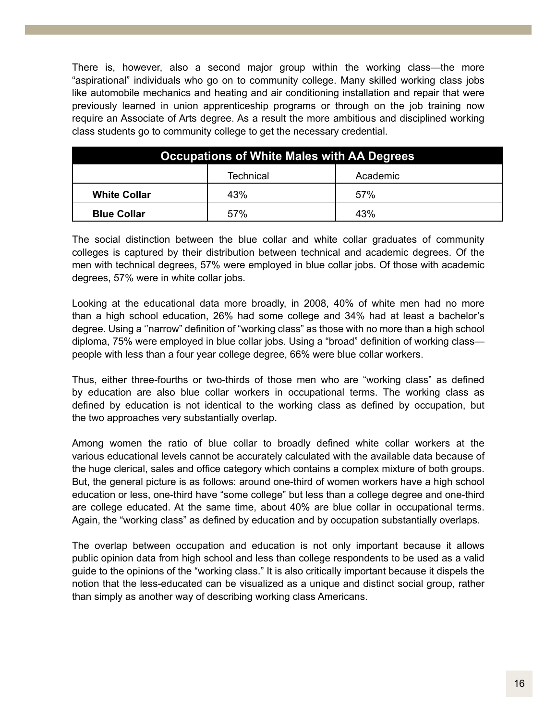There is, however, also a second major group within the working class—the more "aspirational" individuals who go on to community college. Many skilled working class jobs like automobile mechanics and heating and air conditioning installation and repair that were previously learned in union apprenticeship programs or through on the job training now require an Associate of Arts degree. As a result the more ambitious and disciplined working class students go to community college to get the necessary credential.

| Occupations of White Males with AA Degrees |           |          |
|--------------------------------------------|-----------|----------|
|                                            | Technical | Academic |
| <b>White Collar</b>                        | 43%       | 57%      |
| <b>Blue Collar</b>                         | $.57\%$   | 43%      |

The social distinction between the blue collar and white collar graduates of community colleges is captured by their distribution between technical and academic degrees. Of the men with technical degrees, 57% were employed in blue collar jobs. Of those with academic degrees, 57% were in white collar jobs.

Looking at the educational data more broadly, in 2008, 40% of white men had no more than a high school education, 26% had some college and 34% had at least a bachelor's degree. Using a ''narrow" definition of "working class" as those with no more than a high school diploma, 75% were employed in blue collar jobs. Using a "broad" definition of working class people with less than a four year college degree, 66% were blue collar workers.

Thus, either three-fourths or two-thirds of those men who are "working class" as defined by education are also blue collar workers in occupational terms. The working class as defined by education is not identical to the working class as defined by occupation, but the two approaches very substantially overlap.

Among women the ratio of blue collar to broadly defined white collar workers at the various educational levels cannot be accurately calculated with the available data because of the huge clerical, sales and office category which contains a complex mixture of both groups. But, the general picture is as follows: around one-third of women workers have a high school education or less, one-third have "some college" but less than a college degree and one-third are college educated. At the same time, about 40% are blue collar in occupational terms. Again, the "working class" as defined by education and by occupation substantially overlaps.

The overlap between occupation and education is not only important because it allows public opinion data from high school and less than college respondents to be used as a valid guide to the opinions of the "working class." It is also critically important because it dispels the notion that the less-educated can be visualized as a unique and distinct social group, rather than simply as another way of describing working class Americans.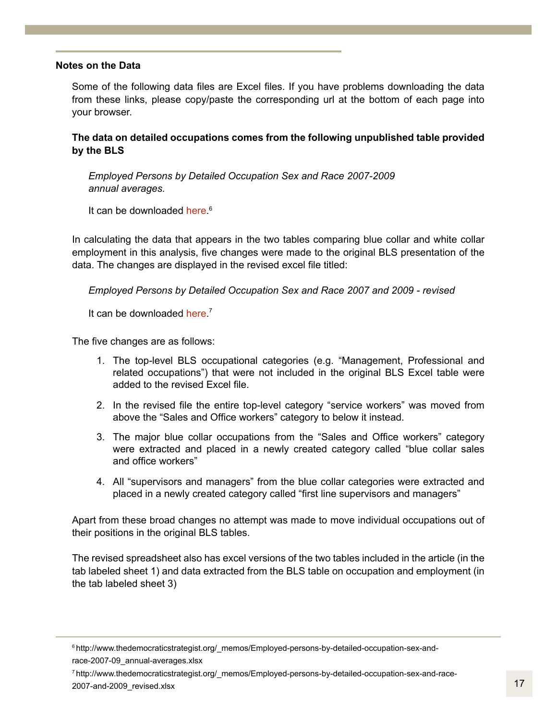#### **Notes on the Data**

Some of the following data files are Excel files. If you have problems downloading the data from these links, please copy/paste the corresponding url at the bottom of each page into your browser.

**The data on detailed occupations comes from the following unpublished table provided by the BLS**

*Employed Persons by Detailed Occupation Sex and Race 2007-2009 annual averages.*

It can be downloaded [here](http://www.thedemocraticstrategist.org/_memos/Employed-persons-by-detailed-occupation-sex-and-race-2007-09_annual-averages.xlsx). 6

In calculating the data that appears in the two tables comparing blue collar and white collar employment in this analysis, five changes were made to the original BLS presentation of the data. The changes are displayed in the revised excel file titled:

*Employed Persons by Detailed Occupation Sex and Race 2007 and 2009 - revised*

It can be downloaded [here](http://www.thedemocraticstrategist.org/_memos/Employed-persons-by-detailed-occupation-sex-and-race-2007-and-2009_revised.xlsx).<sup>7</sup>

The five changes are as follows:

- 1. The top-level BLS occupational categories (e.g. "Management, Professional and related occupations") that were not included in the original BLS Excel table were added to the revised Excel file.
- 2. In the revised file the entire top-level category "service workers" was moved from above the "Sales and Office workers" category to below it instead.
- 3. The major blue collar occupations from the "Sales and Office workers" category were extracted and placed in a newly created category called "blue collar sales and office workers"
- 4. All "supervisors and managers" from the blue collar categories were extracted and placed in a newly created category called "first line supervisors and managers"

Apart from these broad changes no attempt was made to move individual occupations out of their positions in the original BLS tables.

The revised spreadsheet also has excel versions of the two tables included in the article (in the tab labeled sheet 1) and data extracted from the BLS table on occupation and employment (in the tab labeled sheet 3)

<sup>6</sup> [http://www.thedemocraticstrategist.org/\\_memos/E](http://www.thedemocraticstrategist.org/_memos/Employed)mployed-persons-by-detailed-occupation-sex-andrace-2007-09\_annual-averages.xlsx

<sup>7</sup> [http://www.thedemocraticstrategist.org/\\_memos/E](http://www.thedemocraticstrategist.org/_memos/Employed-persons-by-detailed-occupation-sex-and-race-2007-and-2009_revised.xlsx)mployed-persons-by-detailed-occupation-sex-and-race-2007-and-2009\_revised.xlsx